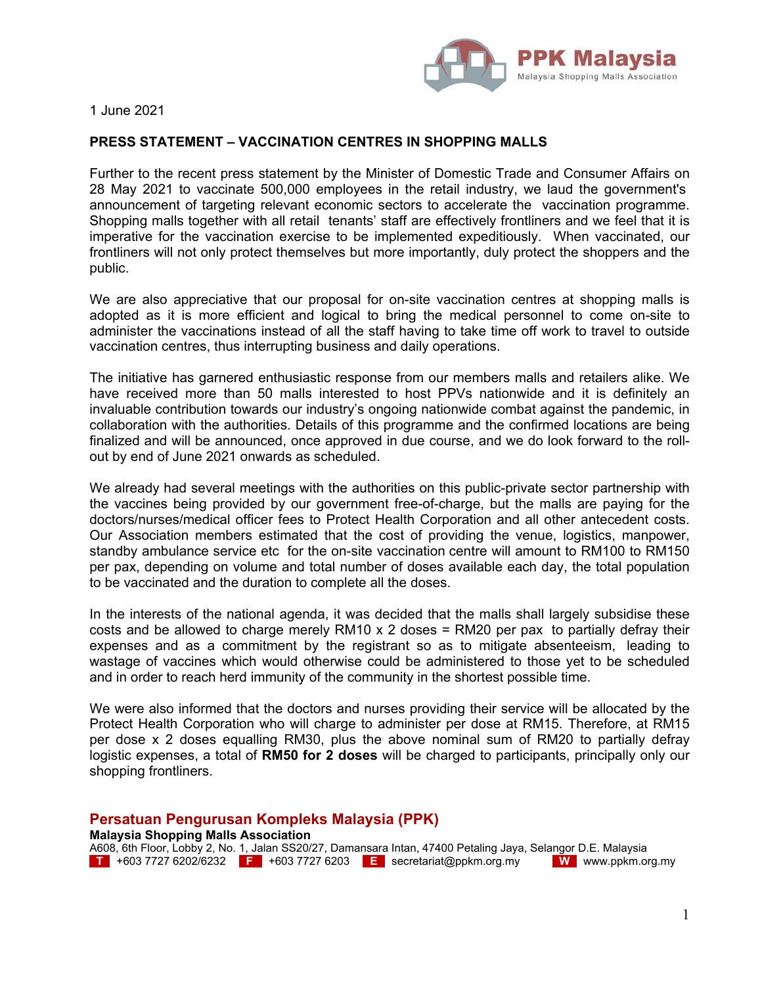

1 June 2021

## **PRESS STATEMENT – VACCINATION CENTRES IN SHOPPING MALLS**

Further to the recent press statement by the Minister of Domestic Trade and Consumer Affairs on 28 May 2021 to vaccinate 500,000 employees in the retail industry, we laud the government's announcement of targeting relevant economic sectors to accelerate the vaccination programme. Shopping malls together with all retail tenants' staff are effectively frontliners and we feel that it is imperative for the vaccination exercise to be implemented expeditiously. When vaccinated, our frontliners will not only protect themselves but more importantly, duly protect the shoppers and the public.

We are also appreciative that our proposal for on-site vaccination centres at shopping malls is adopted as it is more efficient and logical to bring the medical personnel to come on-site to administer the vaccinations instead of all the staff having to take time off work to travel to outside vaccination centres, thus interrupting business and daily operations.

The initiative has garnered enthusiastic response from our members malls and retailers alike. We have received more than 50 malls interested to host PPVs nationwide and it is definitely an invaluable contribution towards our industry's ongoing nationwide combat against the pandemic, in collaboration with the authorities. Details of this programme and the confirmed locations are being finalized and will be announced, once approved in due course, and we do look forward to the rollout by end of June 2021 onwards as scheduled.

We already had several meetings with the authorities on this public-private sector partnership with the vaccines being provided by our government free-of-charge, but the malls are paying for the doctors/nurses/medical officer fees to Protect Health Corporation and all other antecedent costs. Our Association members estimated that the cost of providing the venue, logistics, manpower, standby ambulance service etc for the on-site vaccination centre will amount to RM100 to RM150 per pax, depending on volume and total number of doses available each day, the total population to be vaccinated and the duration to complete all the doses.

In the interests of the national agenda, it was decided that the malls shall largely subsidise these costs and be allowed to charge merely RM10 x 2 doses = RM20 per pax to partially defray their expenses and as a commitment by the registrant so as to mitigate absenteeism, leading to wastage of vaccines which would otherwise could be administered to those yet to be scheduled and in order to reach herd immunity of the community in the shortest possible time.

We were also informed that the doctors and nurses providing their service will be allocated by the Protect Health Corporation who will charge to administer per dose at RM15. Therefore, at RM15 per dose x 2 doses equalling RM30, plus the above nominal sum of RM20 to partially defray logistic expenses, a total of **RM50 for 2 doses** will be charged to participants, principally only our shopping frontliners.

## **Persatuan Pengurusan Kompleks Malaysia (PPK)**

**Malaysia Shopping Malls Association**  A608, 6th Floor, Lobby 2, No. 1, Jalan SS20/27, Damansara Intan, 47400 Petaling Jaya, Selangor D.E. Malaysia **T** +603 7727 6202/6232 **F** +603 7727 6203 **E** secretariat@ppkm.org.my **W** www.ppkm.org.my